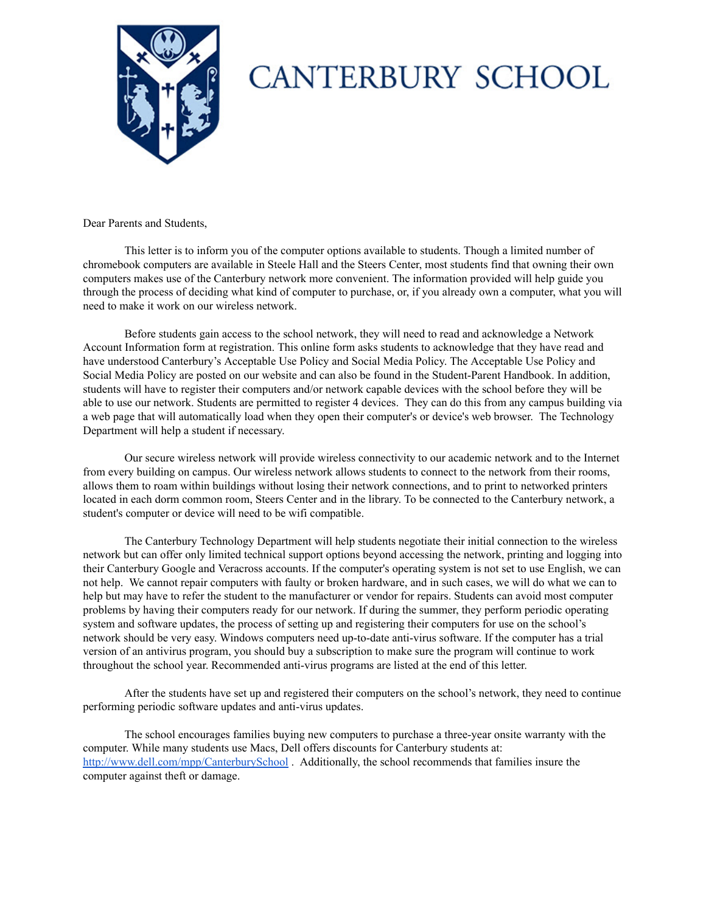

## **CANTERBURY SCHOOL**

Dear Parents and Students,

This letter is to inform you of the computer options available to students. Though a limited number of chromebook computers are available in Steele Hall and the Steers Center, most students find that owning their own computers makes use of the Canterbury network more convenient. The information provided will help guide you through the process of deciding what kind of computer to purchase, or, if you already own a computer, what you will need to make it work on our wireless network.

Before students gain access to the school network, they will need to read and acknowledge a Network Account Information form at registration. This online form asks students to acknowledge that they have read and have understood Canterbury's Acceptable Use Policy and Social Media Policy. The Acceptable Use Policy and Social Media Policy are posted on our website and can also be found in the Student-Parent Handbook. In addition, students will have to register their computers and/or network capable devices with the school before they will be able to use our network. Students are permitted to register 4 devices. They can do this from any campus building via a web page that will automatically load when they open their computer's or device's web browser. The Technology Department will help a student if necessary.

Our secure wireless network will provide wireless connectivity to our academic network and to the Internet from every building on campus. Our wireless network allows students to connect to the network from their rooms, allows them to roam within buildings without losing their network connections, and to print to networked printers located in each dorm common room, Steers Center and in the library. To be connected to the Canterbury network, a student's computer or device will need to be wifi compatible.

The Canterbury Technology Department will help students negotiate their initial connection to the wireless network but can offer only limited technical support options beyond accessing the network, printing and logging into their Canterbury Google and Veracross accounts. If the computer's operating system is not set to use English, we can not help. We cannot repair computers with faulty or broken hardware, and in such cases, we will do what we can to help but may have to refer the student to the manufacturer or vendor for repairs. Students can avoid most computer problems by having their computers ready for our network. If during the summer, they perform periodic operating system and software updates, the process of setting up and registering their computers for use on the school's network should be very easy. Windows computers need up-to-date anti-virus software. If the computer has a trial version of an antivirus program, you should buy a subscription to make sure the program will continue to work throughout the school year. Recommended anti-virus programs are listed at the end of this letter.

After the students have set up and registered their computers on the school's network, they need to continue performing periodic software updates and anti-virus updates.

The school encourages families buying new computers to purchase a three-year onsite warranty with the computer. While many students use Macs, Dell offers discounts for Canterbury students at: <http://www.dell.com/mpp/CanterburySchool> . Additionally, the school recommends that families insure the computer against theft or damage.